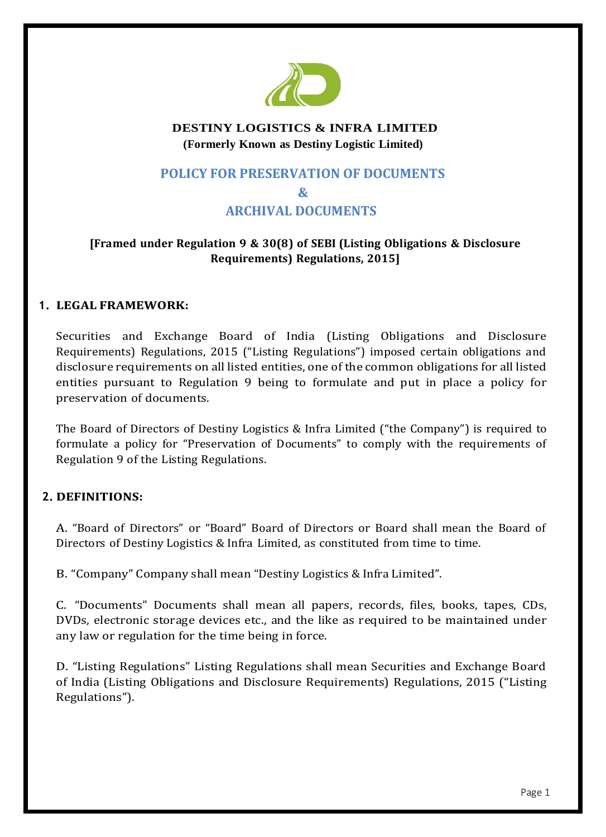

## **DESTINY LOGISTICS & INFRA LIMITED (Formerly Known as Destiny Logistic Limited)**

# **POLICY FOR PRESERVATION OF DOCUMENTS & ARCHIVAL DOCUMENTS**

# **[Framed under Regulation 9 & 30(8) of SEBI (Listing Obligations & Disclosure Requirements) Regulations, 2015]**

## **1. LEGAL FRAMEWORK:**

Securities and Exchange Board of India (Listing Obligations and Disclosure Requirements) Regulations, 2015 ("Listing Regulations") imposed certain obligations and disclosure requirements on all listed entities, one of the common obligations for all listed entities pursuant to Regulation 9 being to formulate and put in place a policy for preservation of documents.

The Board of Directors of Destiny Logistics & Infra Limited ("the Company") is required to formulate a policy for "Preservation of Documents" to comply with the requirements of Regulation 9 of the Listing Regulations.

# **2. DEFINITIONS:**

A. "Board of Directors" or "Board" Board of Directors or Board shall mean the Board of Directors of Destiny Logistics & Infra Limited, as constituted from time to time.

B. "Company" Company shall mean "Destiny Logistics & Infra Limited".

C. "Documents" Documents shall mean all papers, records, files, books, tapes, CDs, DVDs, electronic storage devices etc., and the like as required to be maintained under any law or regulation for the time being in force.

D. "Listing Regulations" Listing Regulations shall mean Securities and Exchange Board of India (Listing Obligations and Disclosure Requirements) Regulations, 2015 ("Listing Regulations").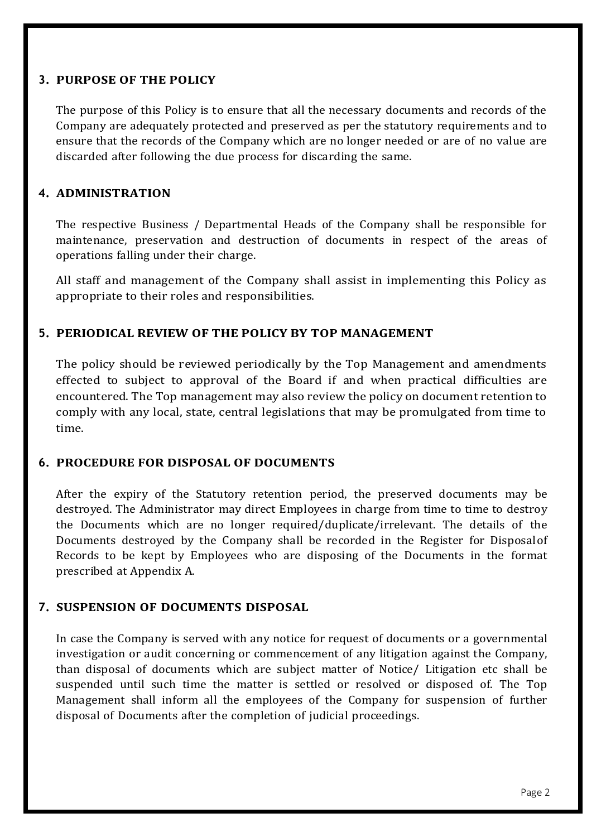### **3. PURPOSE OF THE POLICY**

The purpose of this Policy is to ensure that all the necessary documents and records of the Company are adequately protected and preserved as per the statutory requirements and to ensure that the records of the Company which are no longer needed or are of no value are discarded after following the due process for discarding the same.

### **4. ADMINISTRATION**

The respective Business / Departmental Heads of the Company shall be responsible for maintenance, preservation and destruction of documents in respect of the areas of operations falling under their charge.

All staff and management of the Company shall assist in implementing this Policy as appropriate to their roles and responsibilities.

## **5. PERIODICAL REVIEW OF THE POLICY BY TOP MANAGEMENT**

The policy should be reviewed periodically by the Top Management and amendments effected to subject to approval of the Board if and when practical difficulties are encountered. The Top management may also review the policy on document retention to comply with any local, state, central legislations that may be promulgated from time to time.

#### **6. PROCEDURE FOR DISPOSAL OF DOCUMENTS**

After the expiry of the Statutory retention period, the preserved documents may be destroyed. The Administrator may direct Employees in charge from time to time to destroy the Documents which are no longer required/duplicate/irrelevant. The details of the Documents destroyed by the Company shall be recorded in the Register for Disposalof Records to be kept by Employees who are disposing of the Documents in the format prescribed at Appendix A.

## **7. SUSPENSION OF DOCUMENTS DISPOSAL**

In case the Company is served with any notice for request of documents or a governmental investigation or audit concerning or commencement of any litigation against the Company, than disposal of documents which are subject matter of Notice/ Litigation etc shall be suspended until such time the matter is settled or resolved or disposed of. The Top Management shall inform all the employees of the Company for suspension of further disposal of Documents after the completion of judicial proceedings.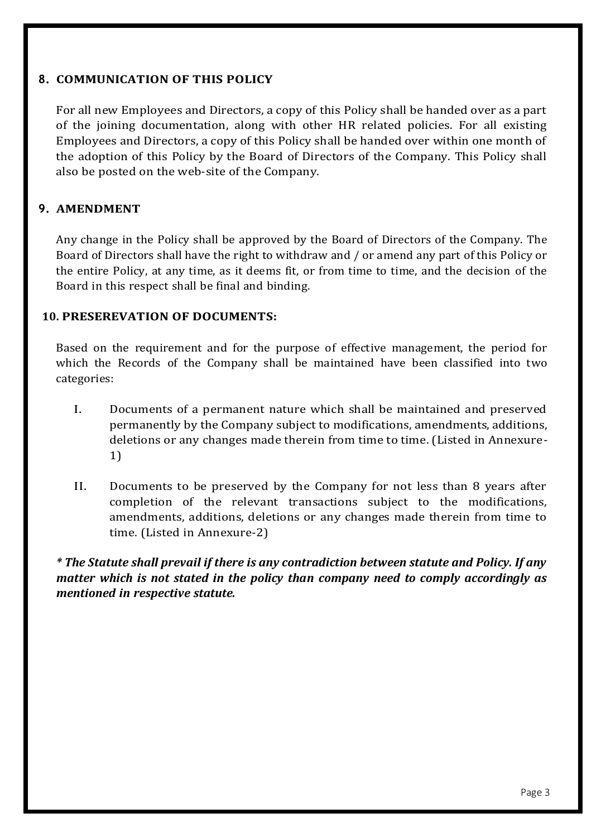#### **8. COMMUNICATION OF THIS POLICY**

For all new Employees and Directors, a copy of this Policy shall be handed over as a part of the joining documentation, along with other HR related policies. For all existing Employees and Directors, a copy of this Policy shall be handed over within one month of the adoption of this Policy by the Board of Directors of the Company. This Policy shall also be posted on the web-site of the Company.

### **9. AMENDMENT**

Any change in the Policy shall be approved by the Board of Directors of the Company. The Board of Directors shall have the right to withdraw and / or amend any part of this Policy or the entire Policy, at any time, as it deems fit, or from time to time, and the decision of the Board in this respect shall be final and binding.

### **10. PRESEREVATION OF DOCUMENTS:**

Based on the requirement and for the purpose of effective management, the period for which the Records of the Company shall be maintained have been classified into two categories:

- I. Documents of a permanent nature which shall be maintained and preserved permanently by the Company subject to modifications, amendments, additions, deletions or any changes made therein from time to time. (Listed in Annexure-1)
- II. Documents to be preserved by the Company for not less than 8 years after completion of the relevant transactions subject to the modifications, amendments, additions, deletions or any changes made therein from time to time. (Listed in Annexure-2)

*\* The Statute shall prevail if there is any contradiction between statute and Policy. If any matter which is not stated in the policy than company need to comply accordingly as mentioned in respective statute.*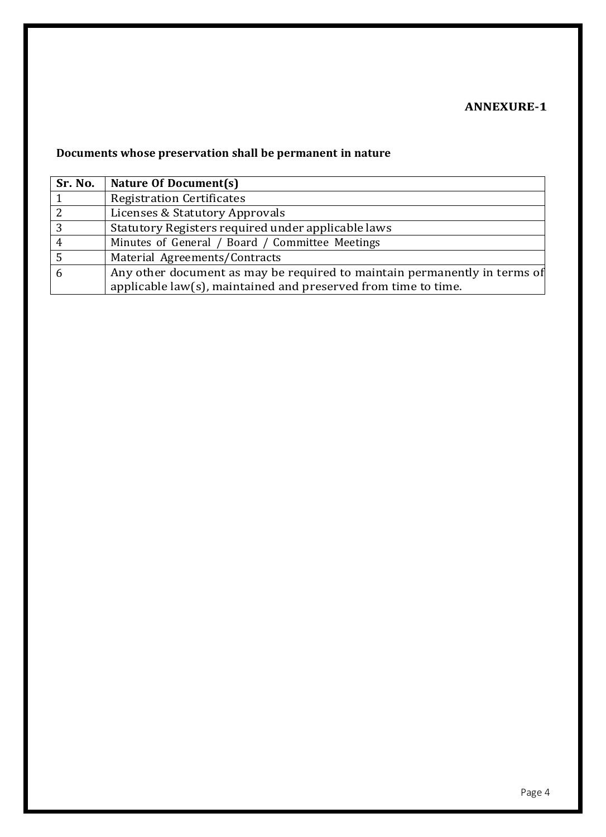# **ANNEXURE-1**

# **Documents whose preservation shall be permanent in nature**

| Sr. No. | Nature Of Document(s)                                                     |  |
|---------|---------------------------------------------------------------------------|--|
|         | <b>Registration Certificates</b>                                          |  |
| 2       | Licenses & Statutory Approvals                                            |  |
| 3       | Statutory Registers required under applicable laws                        |  |
| 4       | Minutes of General / Board / Committee Meetings                           |  |
| - 5     | Material Agreements/Contracts                                             |  |
| 6       | Any other document as may be required to maintain permanently in terms of |  |
|         | applicable law(s), maintained and preserved from time to time.            |  |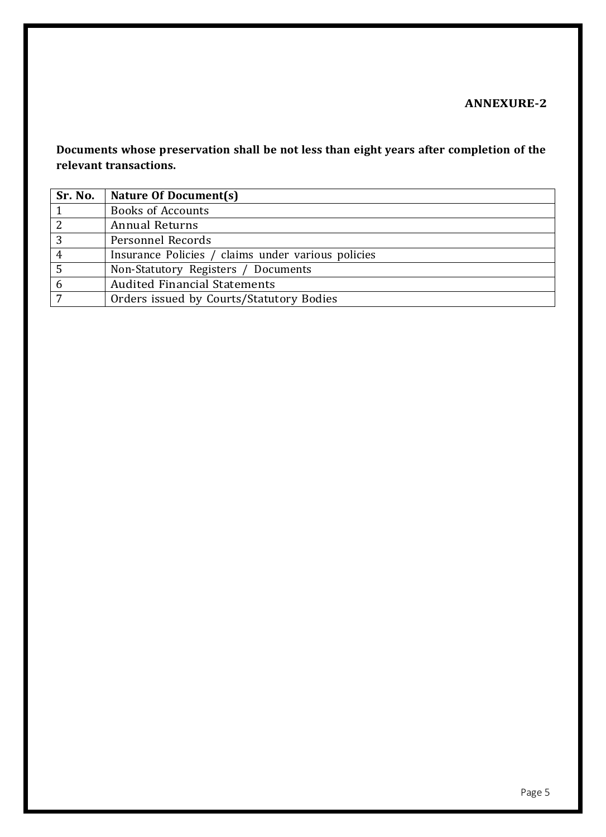# **ANNEXURE-2**

**Documents whose preservation shall be not less than eight years after completion of the relevant transactions.**

| Sr. No.        | Nature Of Document(s)                              |
|----------------|----------------------------------------------------|
|                | <b>Books of Accounts</b>                           |
| $\overline{2}$ | <b>Annual Returns</b>                              |
| 3              | Personnel Records                                  |
| 4              | Insurance Policies / claims under various policies |
| 5              | Non-Statutory Registers / Documents                |
| 6              | <b>Audited Financial Statements</b>                |
| 7              | Orders issued by Courts/Statutory Bodies           |